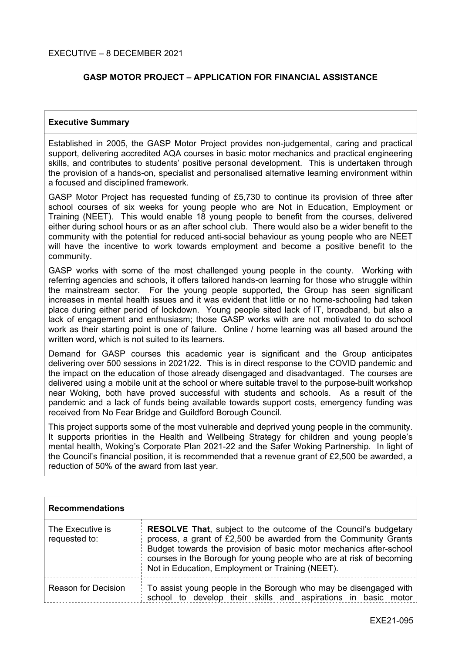# **GASP MOTOR PROJECT – APPLICATION FOR FINANCIAL ASSISTANCE**

## **Executive Summary**

Established in 2005, the GASP Motor Project provides non-judgemental, caring and practical support, delivering accredited AQA courses in basic motor mechanics and practical engineering skills, and contributes to students' positive personal development. This is undertaken through the provision of a hands-on, specialist and personalised alternative learning environment within a focused and disciplined framework.

GASP Motor Project has requested funding of £5,730 to continue its provision of three after school courses of six weeks for young people who are Not in Education, Employment or Training (NEET). This would enable 18 young people to benefit from the courses, delivered either during school hours or as an after school club. There would also be a wider benefit to the community with the potential for reduced anti-social behaviour as young people who are NEET will have the incentive to work towards employment and become a positive benefit to the community.

GASP works with some of the most challenged young people in the county. Working with referring agencies and schools, it offers tailored hands-on learning for those who struggle within the mainstream sector. For the young people supported, the Group has seen significant increases in mental health issues and it was evident that little or no home-schooling had taken place during either period of lockdown. Young people sited lack of IT, broadband, but also a lack of engagement and enthusiasm; those GASP works with are not motivated to do school work as their starting point is one of failure. Online / home learning was all based around the written word, which is not suited to its learners.

Demand for GASP courses this academic year is significant and the Group anticipates delivering over 500 sessions in 2021/22. This is in direct response to the COVID pandemic and the impact on the education of those already disengaged and disadvantaged. The courses are delivered using a mobile unit at the school or where suitable travel to the purpose-built workshop near Woking, both have proved successful with students and schools. As a result of the pandemic and a lack of funds being available towards support costs, emergency funding was received from No Fear Bridge and Guildford Borough Council.

This project supports some of the most vulnerable and deprived young people in the community. It supports priorities in the Health and Wellbeing Strategy for children and young people's mental health, Woking's Corporate Plan 2021-22 and the Safer Woking Partnership. In light of the Council's financial position, it is recommended that a revenue grant of £2,500 be awarded, a reduction of 50% of the award from last year.

| <b>Recommendations</b>            |                                                                                                                                                                                                                                                                                                                                            |
|-----------------------------------|--------------------------------------------------------------------------------------------------------------------------------------------------------------------------------------------------------------------------------------------------------------------------------------------------------------------------------------------|
| The Executive is<br>requested to: | <b>RESOLVE That, subject to the outcome of the Council's budgetary</b><br>process, a grant of £2,500 be awarded from the Community Grants<br>Budget towards the provision of basic motor mechanics after-school<br>courses in the Borough for young people who are at risk of becoming<br>Not in Education, Employment or Training (NEET). |
| <b>Reason for Decision</b>        | To assist young people in the Borough who may be disengaged with<br>school to develop their skills and aspirations in basic motor                                                                                                                                                                                                          |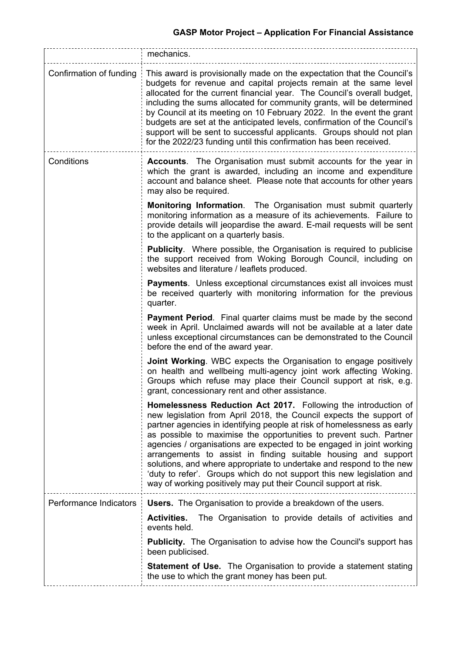|                         | mechanics.                                                                                                                                                                                                                                                                                                                                                                                                                                                                                                                                                                                                                                            |  |
|-------------------------|-------------------------------------------------------------------------------------------------------------------------------------------------------------------------------------------------------------------------------------------------------------------------------------------------------------------------------------------------------------------------------------------------------------------------------------------------------------------------------------------------------------------------------------------------------------------------------------------------------------------------------------------------------|--|
| Confirmation of funding | This award is provisionally made on the expectation that the Council's<br>budgets for revenue and capital projects remain at the same level<br>allocated for the current financial year. The Council's overall budget,<br>including the sums allocated for community grants, will be determined<br>by Council at its meeting on 10 February 2022. In the event the grant<br>budgets are set at the anticipated levels, confirmation of the Council's<br>support will be sent to successful applicants. Groups should not plan<br>for the 2022/23 funding until this confirmation has been received.                                                   |  |
| Conditions              | <b>Accounts.</b> The Organisation must submit accounts for the year in<br>which the grant is awarded, including an income and expenditure<br>account and balance sheet. Please note that accounts for other years<br>may also be required.                                                                                                                                                                                                                                                                                                                                                                                                            |  |
|                         | Monitoring Information. The Organisation must submit quarterly<br>monitoring information as a measure of its achievements. Failure to<br>provide details will jeopardise the award. E-mail requests will be sent<br>to the applicant on a quarterly basis.                                                                                                                                                                                                                                                                                                                                                                                            |  |
|                         | <b>Publicity.</b> Where possible, the Organisation is required to publicise<br>the support received from Woking Borough Council, including on<br>websites and literature / leaflets produced.                                                                                                                                                                                                                                                                                                                                                                                                                                                         |  |
|                         | <b>Payments.</b> Unless exceptional circumstances exist all invoices must<br>be received quarterly with monitoring information for the previous<br>quarter.                                                                                                                                                                                                                                                                                                                                                                                                                                                                                           |  |
|                         | Payment Period. Final quarter claims must be made by the second<br>week in April. Unclaimed awards will not be available at a later date<br>unless exceptional circumstances can be demonstrated to the Council<br>before the end of the award year.                                                                                                                                                                                                                                                                                                                                                                                                  |  |
|                         | <b>Joint Working.</b> WBC expects the Organisation to engage positively<br>on health and wellbeing multi-agency joint work affecting Woking.<br>Groups which refuse may place their Council support at risk, e.g.<br>grant, concessionary rent and other assistance.                                                                                                                                                                                                                                                                                                                                                                                  |  |
|                         | Homelessness Reduction Act 2017. Following the introduction of<br>new legislation from April 2018, the Council expects the support of<br>partner agencies in identifying people at risk of homelessness as early<br>as possible to maximise the opportunities to prevent such. Partner<br>agencies / organisations are expected to be engaged in joint working<br>arrangements to assist in finding suitable housing and support<br>solutions, and where appropriate to undertake and respond to the new<br>'duty to refer'. Groups which do not support this new legislation and<br>way of working positively may put their Council support at risk. |  |
| Performance Indicators  | <b>Users.</b> The Organisation to provide a breakdown of the users.                                                                                                                                                                                                                                                                                                                                                                                                                                                                                                                                                                                   |  |
|                         | The Organisation to provide details of activities and<br><b>Activities.</b><br>events held.                                                                                                                                                                                                                                                                                                                                                                                                                                                                                                                                                           |  |
|                         | <b>Publicity.</b> The Organisation to advise how the Council's support has<br>been publicised.                                                                                                                                                                                                                                                                                                                                                                                                                                                                                                                                                        |  |
|                         | <b>Statement of Use.</b> The Organisation to provide a statement stating<br>the use to which the grant money has been put.                                                                                                                                                                                                                                                                                                                                                                                                                                                                                                                            |  |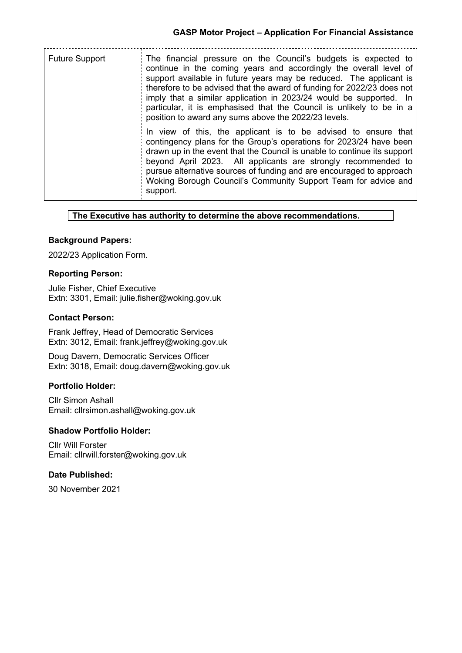| <b>Future Support</b> | The financial pressure on the Council's budgets is expected to<br>continue in the coming years and accordingly the overall level of<br>support available in future years may be reduced. The applicant is<br>therefore to be advised that the award of funding for 2022/23 does not<br>imply that a similar application in 2023/24 would be supported. In<br>particular, it is emphasised that the Council is unlikely to be in a<br>position to award any sums above the 2022/23 levels. |
|-----------------------|-------------------------------------------------------------------------------------------------------------------------------------------------------------------------------------------------------------------------------------------------------------------------------------------------------------------------------------------------------------------------------------------------------------------------------------------------------------------------------------------|
|                       | In view of this, the applicant is to be advised to ensure that<br>contingency plans for the Group's operations for 2023/24 have been<br>drawn up in the event that the Council is unable to continue its support<br>beyond April 2023. All applicants are strongly recommended to<br>pursue alternative sources of funding and are encouraged to approach<br>Woking Borough Council's Community Support Team for advice and<br>support.                                                   |

#### **The Executive has authority to determine the above recommendations.**

## **Background Papers:**

2022/23 Application Form.

#### **Reporting Person:**

Julie Fisher, Chief Executive Extn: 3301, Email: julie.fisher@woking.gov.uk

### **Contact Person:**

Frank Jeffrey, Head of Democratic Services Extn: 3012, Email: frank.jeffrey@woking.gov.uk

Doug Davern, Democratic Services Officer Extn: 3018, Email: doug.davern@woking.gov.uk

## **Portfolio Holder:**

Cllr Simon Ashall Email: cllrsimon.ashall@woking.gov.uk

### **Shadow Portfolio Holder:**

Cllr Will Forster Email: cllrwill.forster@woking.gov.uk

## **Date Published:**

30 November 2021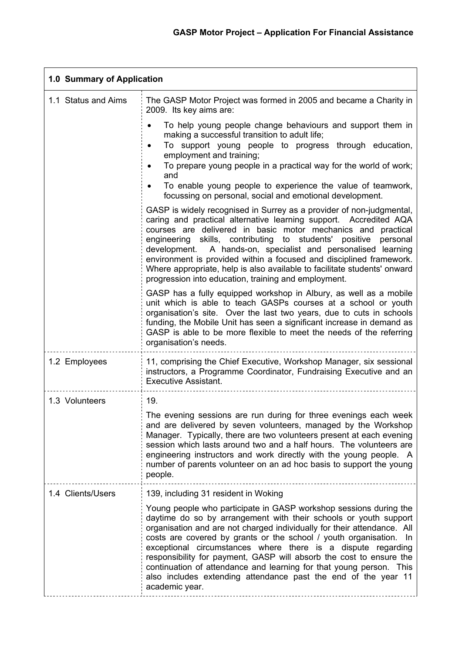| 1.0 Summary of Application |                                                                                                                                                                                                                                                                                                                                                                                                                                                                                                                                                                                                                                  |  |
|----------------------------|----------------------------------------------------------------------------------------------------------------------------------------------------------------------------------------------------------------------------------------------------------------------------------------------------------------------------------------------------------------------------------------------------------------------------------------------------------------------------------------------------------------------------------------------------------------------------------------------------------------------------------|--|
| 1.1 Status and Aims        | The GASP Motor Project was formed in 2005 and became a Charity in<br>2009. Its key aims are:                                                                                                                                                                                                                                                                                                                                                                                                                                                                                                                                     |  |
|                            | To help young people change behaviours and support them in<br>making a successful transition to adult life;<br>To support young people to progress through education,<br>٠<br>employment and training;<br>To prepare young people in a practical way for the world of work;<br>and<br>To enable young people to experience the value of teamwork,<br>focussing on personal, social and emotional development.                                                                                                                                                                                                                    |  |
|                            | GASP is widely recognised in Surrey as a provider of non-judgmental,<br>caring and practical alternative learning support. Accredited AQA<br>courses are delivered in basic motor mechanics and practical<br>engineering skills, contributing to students' positive<br>personal<br>development. A hands-on, specialist and personalised learning<br>environment is provided within a focused and disciplined framework.<br>Where appropriate, help is also available to facilitate students' onward<br>progression into education, training and employment.                                                                      |  |
|                            | GASP has a fully equipped workshop in Albury, as well as a mobile<br>unit which is able to teach GASPs courses at a school or youth<br>organisation's site. Over the last two years, due to cuts in schools<br>funding, the Mobile Unit has seen a significant increase in demand as<br>GASP is able to be more flexible to meet the needs of the referring<br>organisation's needs.                                                                                                                                                                                                                                             |  |
| 1.2 Employees              | 11, comprising the Chief Executive, Workshop Manager, six sessional<br>instructors, a Programme Coordinator, Fundraising Executive and an<br><b>Executive Assistant.</b>                                                                                                                                                                                                                                                                                                                                                                                                                                                         |  |
| 1.3 Volunteers             | 19.<br>The evening sessions are run during for three evenings each week<br>and are delivered by seven volunteers, managed by the Workshop<br>Manager. Typically, there are two volunteers present at each evening<br>session which lasts around two and a half hours. The volunteers are<br>engineering instructors and work directly with the young people. A<br>number of parents volunteer on an ad hoc basis to support the young<br>people.                                                                                                                                                                                 |  |
| 1.4 Clients/Users          | 139, including 31 resident in Woking<br>Young people who participate in GASP workshop sessions during the<br>daytime do so by arrangement with their schools or youth support<br>organisation and are not charged individually for their attendance. All<br>costs are covered by grants or the school / youth organisation. In<br>exceptional circumstances where there is a dispute regarding<br>responsibility for payment, GASP will absorb the cost to ensure the<br>continuation of attendance and learning for that young person. This<br>also includes extending attendance past the end of the year 11<br>academic year. |  |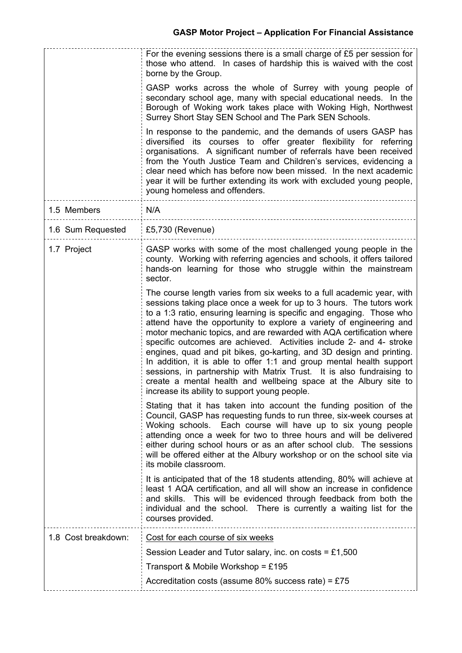|                     | For the evening sessions there is a small charge of $£5$ per session for<br>those who attend. In cases of hardship this is waived with the cost<br>borne by the Group.                                                                                                                                                                                                                                                                                                                                                                                                                                                                                                                                                                                                                    |
|---------------------|-------------------------------------------------------------------------------------------------------------------------------------------------------------------------------------------------------------------------------------------------------------------------------------------------------------------------------------------------------------------------------------------------------------------------------------------------------------------------------------------------------------------------------------------------------------------------------------------------------------------------------------------------------------------------------------------------------------------------------------------------------------------------------------------|
|                     | GASP works across the whole of Surrey with young people of<br>secondary school age, many with special educational needs. In the<br>Borough of Woking work takes place with Woking High, Northwest<br>Surrey Short Stay SEN School and The Park SEN Schools.                                                                                                                                                                                                                                                                                                                                                                                                                                                                                                                               |
|                     | In response to the pandemic, and the demands of users GASP has<br>diversified its courses to offer greater flexibility for referring<br>organisations. A significant number of referrals have been received<br>from the Youth Justice Team and Children's services, evidencing a<br>clear need which has before now been missed. In the next academic<br>year it will be further extending its work with excluded young people,<br>young homeless and offenders.                                                                                                                                                                                                                                                                                                                          |
| 1.5 Members         | N/A                                                                                                                                                                                                                                                                                                                                                                                                                                                                                                                                                                                                                                                                                                                                                                                       |
| 1.6 Sum Requested   | £5,730 (Revenue)                                                                                                                                                                                                                                                                                                                                                                                                                                                                                                                                                                                                                                                                                                                                                                          |
| 1.7 Project         | GASP works with some of the most challenged young people in the<br>county. Working with referring agencies and schools, it offers tailored<br>hands-on learning for those who struggle within the mainstream<br>sector.                                                                                                                                                                                                                                                                                                                                                                                                                                                                                                                                                                   |
|                     | The course length varies from six weeks to a full academic year, with<br>sessions taking place once a week for up to 3 hours. The tutors work<br>to a 1:3 ratio, ensuring learning is specific and engaging. Those who<br>attend have the opportunity to explore a variety of engineering and<br>motor mechanic topics, and are rewarded with AQA certification where<br>specific outcomes are achieved. Activities include 2- and 4- stroke<br>engines, quad and pit bikes, go-karting, and 3D design and printing.<br>In addition, it is able to offer 1:1 and group mental health support<br>sessions, in partnership with Matrix Trust. It is also fundraising to<br>create a mental health and wellbeing space at the Albury site to<br>increase its ability to support young people |
|                     | Stating that it has taken into account the funding position of the<br>Council, GASP has requesting funds to run three, six-week courses at<br>Woking schools. Each course will have up to six young people<br>attending once a week for two to three hours and will be delivered<br>either during school hours or as an after school club. The sessions<br>will be offered either at the Albury workshop or on the school site via<br>its mobile classroom.                                                                                                                                                                                                                                                                                                                               |
|                     | It is anticipated that of the 18 students attending, 80% will achieve at<br>least 1 AQA certification, and all will show an increase in confidence<br>and skills. This will be evidenced through feedback from both the<br>individual and the school. There is currently a waiting list for the<br>courses provided.                                                                                                                                                                                                                                                                                                                                                                                                                                                                      |
| 1.8 Cost breakdown: | Cost for each course of six weeks                                                                                                                                                                                                                                                                                                                                                                                                                                                                                                                                                                                                                                                                                                                                                         |
|                     | Session Leader and Tutor salary, inc. on costs = £1,500                                                                                                                                                                                                                                                                                                                                                                                                                                                                                                                                                                                                                                                                                                                                   |
|                     | Transport & Mobile Workshop = £195                                                                                                                                                                                                                                                                                                                                                                                                                                                                                                                                                                                                                                                                                                                                                        |
|                     | Accreditation costs (assume 80% success rate) = £75                                                                                                                                                                                                                                                                                                                                                                                                                                                                                                                                                                                                                                                                                                                                       |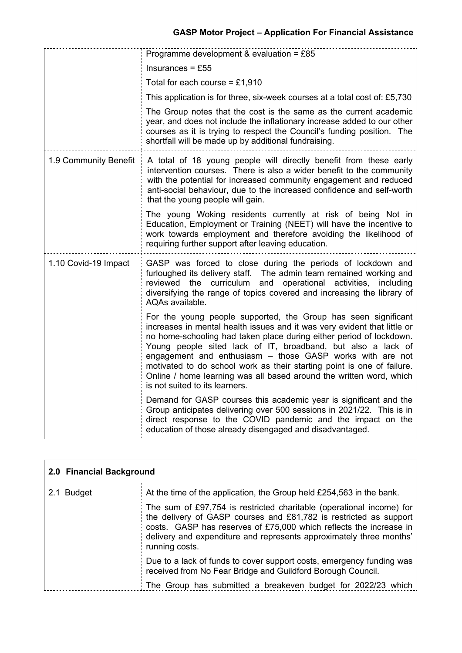|                       | Programme development & evaluation = $£85$                                                                                                                                                                                                                                                                                                                                                                                                                                                                                        |  |  |
|-----------------------|-----------------------------------------------------------------------------------------------------------------------------------------------------------------------------------------------------------------------------------------------------------------------------------------------------------------------------------------------------------------------------------------------------------------------------------------------------------------------------------------------------------------------------------|--|--|
|                       | $Insurances = £55$                                                                                                                                                                                                                                                                                                                                                                                                                                                                                                                |  |  |
|                       | Total for each course = $£1,910$                                                                                                                                                                                                                                                                                                                                                                                                                                                                                                  |  |  |
|                       | This application is for three, six-week courses at a total cost of: £5,730                                                                                                                                                                                                                                                                                                                                                                                                                                                        |  |  |
|                       | The Group notes that the cost is the same as the current academic<br>year, and does not include the inflationary increase added to our other<br>courses as it is trying to respect the Council's funding position. The<br>shortfall will be made up by additional fundraising.                                                                                                                                                                                                                                                    |  |  |
| 1.9 Community Benefit | A total of 18 young people will directly benefit from these early<br>intervention courses. There is also a wider benefit to the community<br>with the potential for increased community engagement and reduced<br>anti-social behaviour, due to the increased confidence and self-worth<br>that the young people will gain.                                                                                                                                                                                                       |  |  |
|                       | The young Woking residents currently at risk of being Not in<br>Education, Employment or Training (NEET) will have the incentive to<br>work towards employment and therefore avoiding the likelihood of<br>requiring further support after leaving education.                                                                                                                                                                                                                                                                     |  |  |
| 1.10 Covid-19 Impact  | GASP was forced to close during the periods of lockdown and<br>furloughed its delivery staff.  The admin team remained working and<br>reviewed the curriculum and operational activities, including<br>diversifying the range of topics covered and increasing the library of<br>AQAs available.                                                                                                                                                                                                                                  |  |  |
|                       | For the young people supported, the Group has seen significant<br>increases in mental health issues and it was very evident that little or<br>no home-schooling had taken place during either period of lockdown.<br>Young people sited lack of IT, broadband, but also a lack of<br>engagement and enthusiasm - those GASP works with are not<br>motivated to do school work as their starting point is one of failure.<br>Online / home learning was all based around the written word, which<br>is not suited to its learners. |  |  |
|                       | Demand for GASP courses this academic year is significant and the<br>Group anticipates delivering over 500 sessions in 2021/22. This is in<br>direct response to the COVID pandemic and the impact on the<br>education of those already disengaged and disadvantaged.                                                                                                                                                                                                                                                             |  |  |

| 2.0 Financial Background |                                                                                                                                                                                                                                                                                                          |
|--------------------------|----------------------------------------------------------------------------------------------------------------------------------------------------------------------------------------------------------------------------------------------------------------------------------------------------------|
| 2.1 Budget               | At the time of the application, the Group held £254,563 in the bank.                                                                                                                                                                                                                                     |
|                          | The sum of £97,754 is restricted charitable (operational income) for<br>the delivery of GASP courses and £81,782 is restricted as support<br>costs. GASP has reserves of £75,000 which reflects the increase in<br>delivery and expenditure and represents approximately three months'<br>running costs. |
|                          | Due to a lack of funds to cover support costs, emergency funding was<br>received from No Fear Bridge and Guildford Borough Council.                                                                                                                                                                      |
|                          | The Group has submitted a breakeven budget for 2022/23 which                                                                                                                                                                                                                                             |